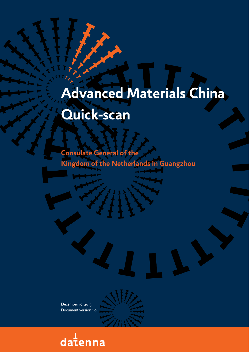# **Advanced Materials China Quick-scan**

**Consulate General of the Kingdom of the Netherlands in Guangzhou**

December 10, 2015 Document version 1.0

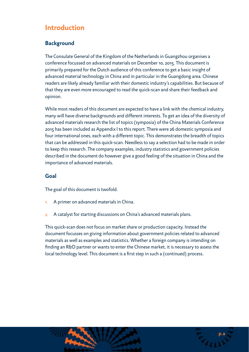# **Introduction**

## **Background**

The Consulate General of the Kingdom of the Netherlands in Guangzhou organises a conference focussed on advanced materials on December 10, 2015. This document is primarily prepared for the Dutch audience of this conference to get a basic insight of advanced material technology in China and in particular in the Guangdong area. Chinese readers are likely already familiar with their domestic industry's capabilities. But because of that they are even more encouraged to read the quick-scan and share their feedback and opinion.

While most readers of this document are expected to have a link with the chemical industry, many will have diverse backgrounds and different interests. To get an idea of the diversity of advanced materials research the list of topics (symposia) of the China Materials Conference 2015 has been included as Appendix I to this report. There were 26 domestic symposia and four international ones, each with a different topic. This demonstrates the breadth of topics that can be addressed in this quick-scan. Needless to say a selection had to be made in order to keep this research. The company examples, industry statistics and government policies described in the document do however give a good feeling of the situation in China and the importance of advanced materials.

## **Goal**

The goal of this document is twofold.

- 1. A primer on advanced materials in China.
- 2. A catalyst for starting discussions on China's advanced materials plans.

This quick-scan does not focus on market share or production capacity. Instead the document focusses on giving information about government policies related to advanced materials as well as examples and statistics. Whether a foreign company is intending on finding an R&D partner or wants to enter the Chinese market, it is necessary to assess the local technology level. This document is a first step in such a (continued) process.

**p.2**

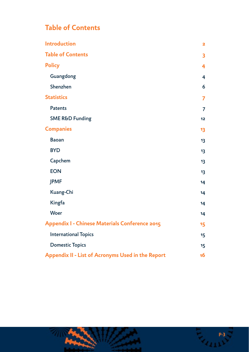# **Table of Contents**

| <b>Introduction</b>                               | $\overline{\mathbf{2}}$ |
|---------------------------------------------------|-------------------------|
| <b>Table of Contents</b>                          | 3                       |
| <b>Policy</b>                                     | 4                       |
| Guangdong                                         | 4                       |
| Shenzhen                                          | 6                       |
| <b>Statistics</b>                                 | $\overline{z}$          |
| <b>Patents</b>                                    | $\overline{7}$          |
| <b>SME R&amp;D Funding</b>                        | 12                      |
| <b>Companies</b>                                  | 13                      |
| <b>Baoan</b>                                      | 13                      |
| <b>BYD</b>                                        | 13                      |
| Capchem                                           | 13                      |
| <b>EON</b>                                        | 13                      |
| <b>JPMF</b>                                       | 14                      |
| Kuang-Chi                                         | 14                      |
| Kingfa                                            | 14                      |
| <b>Woer</b>                                       | 14                      |
| Appendix I - Chinese Materials Conference 2015    | 15                      |
| <b>International Topics</b>                       | 15                      |
| <b>Domestic Topics</b>                            | 15                      |
| Appendix II - List of Acronyms Used in the Report | 16                      |

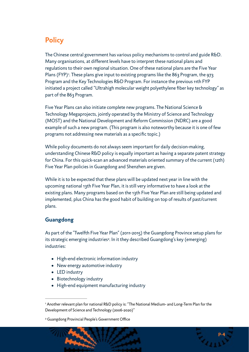# **Policy**

<span id="page-3-2"></span>The Chinese central government has various policy mechanisms to control and guide R&D. Many organisations, at different levels have to interpret these national plans and regulations to their own regional situation. One of these national plans are the Five Year Plans (FYP)<sup>[1](#page-3-0)</sup>. These plans give input to existing programs like the 863 Program, the 973 Program and the Key Technologies R&D Program. For instance the previous 11th FYP initiated a project called "Ultrahigh molecular weight polyethylene fiber key technology" as part of the 863 Program.

Five Year Plans can also initiate complete new programs. The National Science & Technology Megaprojects, jointly operated by the Ministry of Science and Technology (MOST) and the National Development and Reform Commission (NDRC) are a good example of such a new program. (This program is also noteworthy because it is one of few programs not addressing new materials as a specific topic.)

While policy documents do not always seem important for daily decision-making, understanding Chinese R&D policy is equally important as having a separate patent strategy for China. For this quick-scan an advanced materials oriented summary of the current (12th) Five Year Plan policies in Guangdong and Shenzhen are given.

While it is to be expected that these plans will be updated next year in line with the upcoming national 13th Five Year Plan, it is still very informative to have a look at the existing plans. Many programs based on the 13th Five Year Plan are still being updated and implemented, plus China has the good habit of building on top of results of past/current plans.

# **Guangdong**

As part of the "Twelfth Five Year Plan" (2011-2015) the Guangdong Province setup plans for its strategic emerging industries<sup>[2](#page-3-1)</sup>. In it they described Guangdong's key (emerging) industries:

- <span id="page-3-3"></span>• High-end electronic information industry
- New energy automotive industry
- LED industry
- Biotechnology industry
- High-end equipment manufacturing industry

<span id="page-3-1"></span><sup>&</sup>lt;sup>[2](#page-3-3)</sup> Guangdong Provincial People's Government Office



<span id="page-3-0"></span><sup>&</sup>lt;sup>[1](#page-3-2)</sup> Another relevant plan for national R&D policy is: "The National Medium- and Long-Term Plan for the Development of Science and Technology (2006-2020)"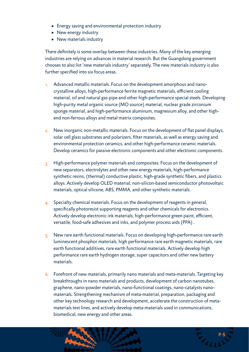- Energy saving and environmental protection industry
- New energy industry
- New materials industry

There definitely is some overlap between these industries. Many of the key emerging industries are relying on advances in material research. But the Guangdong government chooses to also list 'new materials industry' separately. The new materials industry is also further specified into six focus areas.

- 1. Advanced metallic materials. Focus on the development amorphous and nanocrystalline alloys, high-performance ferrite magnetic materials, efficient cooling material, oil and natural gas pipe and other high-performance special steels. Developing high-purity metal organic source (MO source) material, nuclear grade zirconium sponge material, and high-performance aluminum, magnesium alloy, and other highend non-ferrous alloys and metal matrix composites.
- 2. New inorganic non-metallic materials. Focus on the development of flat panel displays, solar cell glass substrates and polarizers, filter materials, as well as energy saving and environmental protection ceramics, and other high-performance ceramic materials. Develop ceramics for passive electronic components and other electronic components.
- 3. High-performance polymer materials and composites. Focus on the development of new separators, electrolytes and other new energy materials, high-performance synthetic resins, (thermal) conductive plastic, high-grade synthetic fibers, and plastics alloys. Actively develop OLED material, non-silicon-based semiconductor photovoltaic materials, optical silicone, ABS, PMMA, and other synthetic materials.
- 4. Specialty chemical materials. Focus on the development of reagents in general, specifically photoresist supporting reagents and other chemicals for electronics. Actively develop electronic ink materials, high-performance green paint, efficient, versatile, food-safe adhesives and inks, and polymer process aids (PPA) .
- 5. New rare earth functional materials. Focus on developing high-performance rare earth luminescent phosphor materials, high performance rare earth magnetic materials, rare earth functional additives, rare earth functional materials. Actively develop high performance rare earth hydrogen storage, super capacitors and other new battery materials.
- 6. Forefront of new materials, primarily nano materials and meta-materials. Targeting key breakthroughs in nano materials and products, development of carbon nanotubes, graphene, nano-powder materials, nano-functional coatings, nano-catalysts nanomaterials. Strengthening mechanism of meta-material, preparation, packaging and other key technology research and development, accelerate the construction of metamaterials test lines, and actively develop meta-materials used in communications, biomedical, new energy and other areas.

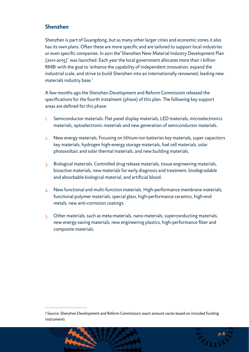## **Shenzhen**

Shenzhen is part of Guangdong, but as many other larger cities and economic zones it also has its own plans. Often these are more specific and are tailored to support local industries or even specific companies. In 2011 the"Shenzhen New Material Industry Development Plan (2011-2015)" was launched. Each year the local government allocates more than 1 billion RM[B](#page-5-0)<sup>[3](#page-5-0)</sup> with the goal to 'enhance the capability of independent innovation, expand the industrial scale, and strive to build Shenzhen into an internationally renowned, leading new materials industry base.'

<span id="page-5-1"></span>A few months ago the Shenzhen Development and Reform Commission released the specifications for the fourth instalment (phase) of this plan. The following key support areas are defined for this phase:

- 1. Semiconductor materials. Flat panel display materials, LED materials, microelectronics materials, optoelectronic materials and new generation of semiconductor materials.
- 2. New energy materials. Focusing on lithium-ion batteries key materials, super capacitors key materials, hydrogen high-energy storage materials, fuel cell materials, solar photovoltaic and solar thermal materials, and new building materials.
- 3. Biological materials. Controlled drug release materials, tissue engineering materials, bioactive materials, new materials for early diagnosis and treatment, biodegradable and absorbable biological material, and artificial blood.
- 4. New functional and multi-function materials. High-performance membrane materials, functional polymer materials, special glass, high-performance ceramics, high-end metals, new anti-corrosion coatings.
- $5.$  Other materials, such as meta-materials, nano materials, superconducting materials, new energy-saving materials, new engineering plastics, high-performance fiber and composite materials.

<span id="page-5-0"></span><sup>&</sup>lt;sup>3</sup>Source: Shenzhen Development and Reform Commission; exact amount varies based on included funding instruments

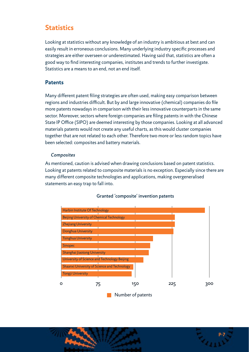# **Statistics**

Looking at statistics without any knowledge of an industry is ambitious at best and can easily result in erroneous conclusions. Many underlying industry specific processes and strategies are either overseen or underestimated. Having said that, statistics are often a good way to find interesting companies, institutes and trends to further investigate. Statistics are a means to an end, not an end itself.

#### **Patents**

Many different patent filing strategies are often used, making easy comparison between regions and industries difficult. But by and large innovative (chemical) companies do file more patents nowadays in comparison with their less innovative counterparts in the same sector. Moreover, sectors where foreign companies are filing patents in with the Chinese State IP Office (SIPO) are deemed interesting by those companies. Looking at all advanced materials patents would not create any useful charts, as this would cluster companies together that are not related to each other. Therefore two more or less random topics have been selected: composites and battery materials.

#### *Composites*

As mentioned, caution is advised when drawing conclusions based on patent statistics. Looking at patents related to composite materials is no exception. Especially since there are many different composite technologies and applications, making overgeneralised statements an easy trap to fall into.



#### Granted 'composite' invention patents

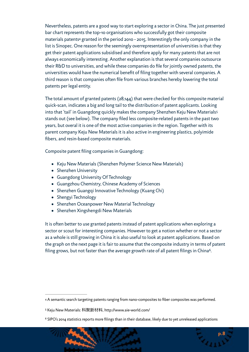<span id="page-7-3"></span>Nevertheless, patents are a good way to start exploring a sector in China. The just presented bar chart represents the top-10 organisations who successfully got their composite material[s](#page-7-0) patents<sup>[4](#page-7-0)</sup> granted in the period 2010 - 2015. Interestingly the only company in the list is Sinopec. One reason for the seemingly overrepresentation of universities is that they get their patent applications subsidised and therefore apply for many patents that are not always economically interesting. Another explanation is that several companies outsource their R&D to universities, and while these companies do file for jointly owned patents, the universities would have the numerical benefit of filing together with several companies. A third reason is that companies often file from various branches hereby lowering the total patents per legal entity.

The total amount of granted patents (28,144) that were checked for this composite material quick-scan, indicates a big and long tail to the distribution of patent applicants. Looking into that 'tail' in Guangdong quickly makes the company Shenzhen Keju New Materials[5](#page-7-1) stands out (see below). The company filed less composite-related patents in the past two years, but overal it is one of the most active companies in the region. Together with its parent company Keju New Materials it is also active in engineering plastics, polyimide fibers, and resin-based composite materials.

Composite patent filing companies in Guangdong:

- <span id="page-7-4"></span>• Keju New Materials (Shenzhen Polymer Science New Materials)
- Shenzhen University
- Guangdong University Of Technology
- Guangzhou Chemistry, Chinese Academy of Sciences
- Shenzhen Guangqi Innovative Technology (Kuang Chi)
- Shengyi Technology
- Shenzhen Oceanpower New Material Technology
- <span id="page-7-5"></span>• Shenzhen Xingshengdi New Materials

It is often better to use granted patents instead of patent applications when exploring a sector or scout for interesting companies. However to get a notion whether or not a sector as a whole is still growing in China it is also useful to look at patent applications. Based on the graph on the next page it is fair to assume that the composite industry in terms of patent filing grows, but not faster than the average growth rate of all patent filings in China<sup>[6](#page-7-2)</sup>.

<span id="page-7-2"></span> $6$  SIPO's 2014 statistics reports more filings than in their database, likely due to yet unreleased applications



<span id="page-7-0"></span>[<sup>4</sup>](#page-7-3) A semantic search targeting patents ranging from nano-composites to fiber composites was performed.

<span id="page-7-1"></span>[<sup>5</sup>](#page-7-4) Keju New Materials: 科聚新材料, http://www.aie-world.com/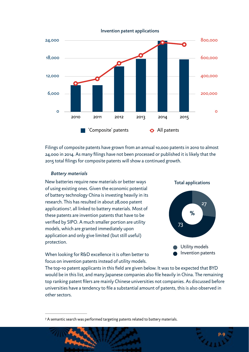

Filings of composite patents have grown from an annual 10,000 patents in 2010 to almost 24,000 in 2014. As many filings have not been processed or published it is likely that the 2015 total filings for composite patents will show a continued growth.

#### *Battery materials*

<span id="page-8-1"></span>New batteries require new materials or better ways of using existing ones. Given the economic potential of battery technology China is investing heavily in its research. This has resulted in about 28,000 patent applications7[,](#page-8-0) all linked to battery materials. Most of these patents are invention patents that have to be verified by SIPO. A much smaller portion are utility models, which are granted immediately upon application and only give limited (but still useful) protection.



When looking for R&D excellence it is often better to focus on invention patents instead of utility models.

The top-10 patent applicants in this field are given below. It was to be expected that BYD would be in this list, and many Japanese companies also file heavily in China. The remaining top ranking patent filers are mainly Chinese universities not companies. As discussed before universities have a tendency to file a substantial amount of patents, this is also observed in other sectors.

<span id="page-8-0"></span><sup>&</sup>lt;sup>[7](#page-8-1)</sup> A semantic search was performed targeting patents related to battery materials.

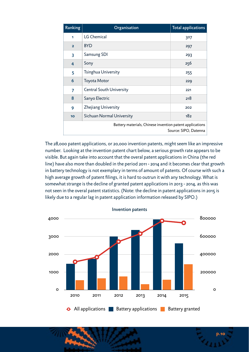| Ranking                                                                           | Organisation                    | <b>Total applications</b> |
|-----------------------------------------------------------------------------------|---------------------------------|---------------------------|
| 1                                                                                 | <b>LG Chemical</b>              | 307                       |
| $\overline{2}$                                                                    | <b>BYD</b>                      | 297                       |
| 3                                                                                 | Samsung SDI                     | 293                       |
| 4                                                                                 | Sony                            | 256                       |
| 5                                                                                 | Tsinghua University             | 255                       |
| 6                                                                                 | <b>Toyota Motor</b>             | 229                       |
| 7                                                                                 | <b>Central South University</b> | 221                       |
| 8                                                                                 | Sanyo Electric                  | 218                       |
| 9                                                                                 | Zhejiang University             | 202                       |
| 10 <sub>o</sub>                                                                   | Sichuan Normal University       | 18 <sub>2</sub>           |
| Battery materials, Chinese invention patent applications<br>Source: SIPO, Datenna |                                 |                           |

The 28,000 patent applications, or 20,000 invention patents, might seem like an impressive number. Looking at the invention patent chart below, a serious growth rate appears to be visible. But again take into account that the overal patent applications in China (the red line) have also more than doubled in the period 2011 - 2014 and it becomes clear that growth in battery technology is not exemplary in terms of amount of patents. Of course with such a high average growth of patent filings, it is hard to outrun it with any technology. What is somewhat strange is the decline of granted patent applications in 2013 - 2014, as this was not seen in the overal patent statistics. (Note: the decline in patent applications in 2015 is likely due to a regular lag in patent application information released by SIPO.)



Invention patents

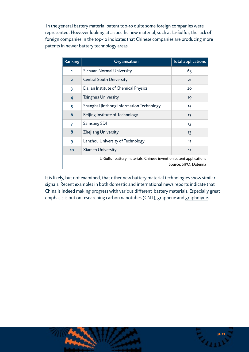In the general battery material patent top-10 quite some foreign companies were represented. However looking at a specific new material, such as Li-Sulfur, the lack of foreign companies in the top-10 indicates that Chinese companies are producing more patents in newer battery technology areas.

| Ranking                                                                                     | Organisation                             | <b>Total applications</b> |
|---------------------------------------------------------------------------------------------|------------------------------------------|---------------------------|
| 1                                                                                           | Sichuan Normal University                | 63                        |
| $\overline{2}$                                                                              | <b>Central South University</b>          | 21                        |
| 3                                                                                           | Dalian Institute of Chemical Physics     | 20                        |
| 4                                                                                           | Tsinghua University                      | 19                        |
| 5                                                                                           | Shanghai Jinzhong Information Technology | 15                        |
| 6                                                                                           | Beijing Institute of Technology          | 13                        |
| 7                                                                                           | Samsung SDI                              | 13                        |
| 8                                                                                           | <b>Zhejiang University</b>               | 13                        |
| 9                                                                                           | Lanzhou University of Technology         | 11                        |
| 10 <sub>o</sub>                                                                             | <b>Xiamen University</b>                 | 11                        |
| Li-Sulfur battery materials, Chinese invention patent applications<br>Source: SIPO, Datenna |                                          |                           |

It is likely, but not examined, that other new battery material technologies show similar signals. Recent examples in both domestic and international news reports indicate that China is indeed making progress with various different battery materials. Especially great emphasis is put on researching carbon nanotubes (CNT), graphene and [graphdiyne](http://www.datenna.com/academic/graphdiyne-not-graphene-for-better-batteries/).

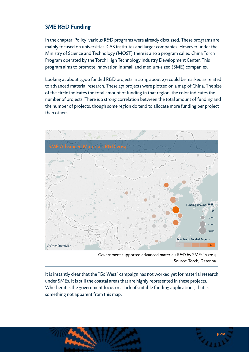## **SME R&D Funding**

In the chapter 'Policy' various R&D programs were already discussed. These programs are mainly focused on universities, CAS institutes and larger companies. However under the Ministry of Science and Technology (MOST) there is also a program called China Torch Program operated by the Torch High Technology Industry Development Center. This program aims to promote innovation in small and medium-sized (SME) companies.

Looking at about 3,700 funded R&D projects in 2014, about 271 could be marked as related to advanced material research. These 271 projects were plotted on a map of China. The size of the circle indicates the total amount of funding in that region, the color indicates the number of projects. There is a strong correlation between the total amount of funding and the number of projects, though some region do tend to allocate more funding per project than others.



Source: Torch, Datenna

It is instantly clear that the "Go West" campaign has not worked yet for material research under SMEs. It is still the coastal areas that are highly represented in these projects. Whether it is the government focus or a lack of suitable funding applications, that is something not apparent from this map.

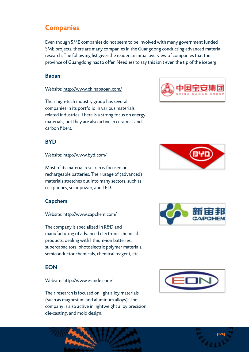# **Companies**

Even though SME companies do not seem to be involved with many government funded SME projects, there are many companies in the Guangdong conducting advanced material research. The following list gives the reader an initial overview of companies that the province of Guangdong has to offer. Needless to say this isn't even the tip of the iceberg.

#### **Baoan**

Website: <http://www.chinabaoan.com/>

Their [high-tech industry group](http://www.chinabaoan.com/cn/jituanchanye/gaoxinjishuchanye/) has several companies in its portfolio in various materials related industries. There is a strong focus on energy materials, but they are also active in ceramics and carbon fibers.

## **BYD**

Website: http://www.byd.com/

Most of its material research is focused on rechargeable batteries. Their usage of (advanced) materials stretches out into many sectors, such as cell phones, solar power, and LED.

## **Capchem**

#### Website: <http://www.capchem.com/>

The company is specialized in R&D and manufacturing of advanced electronic chemical products; dealing with lithium-ion batteries, supercapacitors, photoelectric polymer materials, semiconductor chemicals, chemical reagent, etc.

### **EON**

#### Website: <http://www.e-ande.com/>

Their research is focused on light alloy materials (such as magnesium and aluminum alloys). The company is also active in lightweight alloy precision die-casting, and mold design.









**p.13**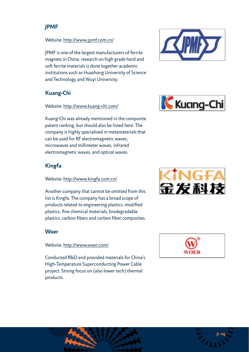# **JPMF**

#### Website: <http://www.jpmf.com.cn/>

JPMF is one of the largest manufacturers of ferrite magnets in China. research on high grade hard and soft ferrite materials is done together academic institutions such as Huazhong University of Science and Technology and Wuyi University.

## **Kuang-Chi**

#### Website: <http://www.kuang-chi.com/>





Kuang-Chi was already mentioned in the composite patent ranking, but should also be listed here. The company is highly specialised in metamaterials that can be used for RF electromagnetic waves, microwaves and millimeter waves, infrared electromagnetic waves, and optical waves.

# **Kingfa**

#### Website: <http://www.kingfa.com.cn/>

Another company that cannot be omitted from this list is Kingfa. The company has a broad scope of products related to engineering plastics, modified plastics, fine chemical materials, biodegradable plastics, carbon fibers and carbon fiber composites.

### **Woer**

Website: <http://www.woer.com/>

Conducted R&D and provided materials for China's High-Temperature Superconducting Power Cable project. Strong focus on (also lower tech) thermal products.





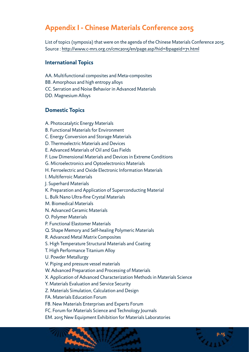# **Appendix I - Chinese Materials Conference 2015**

List of topics (symposia) that were on the agenda of the Chinese Materials Conference 2015. Source : <http://www.c-mrs.org.cn/cmc2015/en/page.asp?hid=&pageid=71.html>

#### **International Topics**

AA. Multifunctional composites and Meta-composites

BB. Amorphous and high entropy alloys

CC. Serration and Noise Behavior in Advanced Materials

DD. Magnesium Alloys

#### **Domestic Topics**

A. Photocatalytic Energy Materials

B. Functional Materials for Environment

C. Energy Conversion and Storage Materials

D. Thermoelectric Materials and Devices

E. Advanced Materials of Oil and Gas Fields

F. Low Dimensional Materials and Devices in Extreme Conditions

G. Microelectronics and Optoelectronics Materials

H. Ferroelectric and Oxide Electronic Information Materials

I. Multiferroic Materials

J. Superhard Materials

K. Preparation and Application of Superconducting Material

L. Bulk Nano Ultra-fine Crystal Materials

M. Biomedical Materials

N. Advanced Ceramic Materials

O. Polymer Materials

P. Functional Elastomer Materials

Q. Shape Memory and Self-healing Polymeric Materials

R. Advanced Metal Matrix Composites

S. High Temperature Structural Materials and Coating

T. High Performance Titanium Alloy

U. Powder Metallurgy

V. Piping and pressure vessel materials

W. Advanced Preparation and Processing of Materials

X. Application of Advanced Characterization Methods in Materials Science

**p.15**

Y. Materials Evaluation and Service Security

Z. Materials Simulation, Calculation and Design

FA. Materials Education Forum

FB. New Materials Enterprises and Experts Forum

FC. Forum for Materials Science and Technology Journals

EM. 2015 New Equipment Exhibition for Materials Laboratories